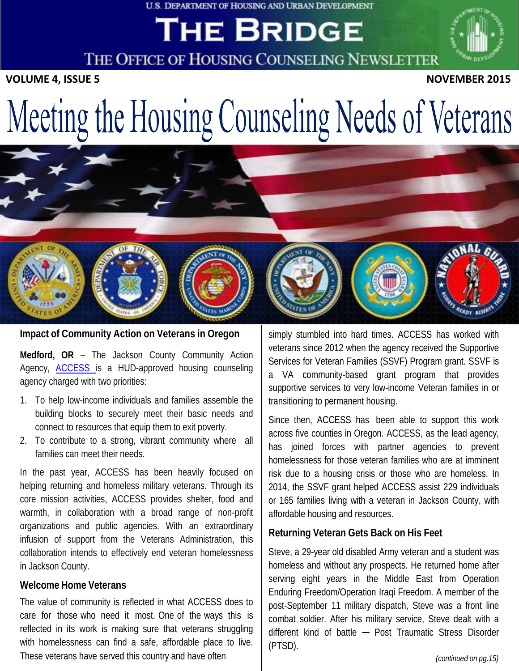#### U.S. DEPARTMENT OF HOUSING AND URBAN DEVELOPMENT

## THE BRIDGE

THE OFFICE OF HOUSING COUNSELING NEWSLETTER

**VOLUME** 4, ISSUE 5 **NOVEMBER** 2015

# Meeting the Housing Counseling Needs of Veterans



**Impact of Community Action on Veterans in Oregon**

**Medford, OR** – The Jackson County Community Action Agency, [ACCESS](https://www.accesshelps.org/) is a HUD-approved housing counseling agency charged with two priorities:

- 1. To help low-income individuals and families assemble the building blocks to securely meet their basic needs and connect to resources that equip them to exit poverty.
- 2. To contribute to a strong, vibrant community where all families can meet their needs.

In the past year, ACCESS has been heavily focused on helping returning and homeless military veterans. Through its core mission activities, ACCESS provides shelter, food and warmth, in collaboration with a broad range of non-profit organizations and public agencies. With an extraordinary infusion of support from the Veterans Administration, this collaboration intends to effectively end veteran homelessness in Jackson County.

#### **Welcome Home Veterans**

The value of community is reflected in what ACCESS does to care for those who need it most. One of the ways this is reflected in its work is making sure that veterans struggling with homelessness can find a safe, affordable place to live. These veterans have served this country and have often

simply stumbled into hard times. ACCESS has worked with veterans since 2012 when the agency received the Supportive Services for Veteran Families (SSVF) Program grant. SSVF is a VA community-based grant program that provides supportive services to very low-income Veteran families in or transitioning to permanent housing.

Since then, ACCESS has been able to support this work across five counties in Oregon. ACCESS, as the lead agency, has joined forces with partner agencies to prevent homelessness for those veteran families who are at imminent risk due to a housing crisis or those who are homeless. In 2014, the SSVF grant helped ACCESS assist 229 individuals or 165 families living with a veteran in Jackson County, with affordable housing and resources.

#### **Returning Veteran Gets Back on His Feet**

Steve, a 29-year old disabled Army veteran and a student was homeless and without any prospects. He returned home after serving eight years in the Middle East from Operation Enduring Freedom/Operation Iraqi Freedom. A member of the post-September 11 military dispatch, Steve was a front line combat soldier. After his military service, Steve dealt with a different kind of battle - Post Traumatic Stress Disorder (PTSD).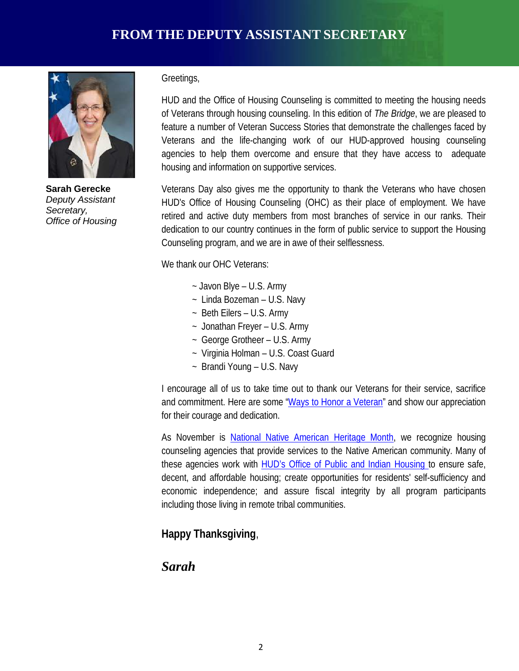

**Sarah Gerecke** *Deputy Assistant Secretary, Office of Housing*

#### Greetings,

HUD and the Office of Housing Counseling is committed to meeting the housing needs of Veterans through housing counseling. In this edition of *The Bridge*, we are pleased to feature a number of Veteran Success Stories that demonstrate the challenges faced by Veterans and the life-changing work of our HUD-approved housing counseling agencies to help them overcome and ensure that they have access to adequate housing and information on supportive services.

Veterans Day also gives me the opportunity to thank the Veterans who have chosen HUD's Office of Housing Counseling (OHC) as their place of employment. We have retired and active duty members from most branches of service in our ranks. Their dedication to our country continues in the form of public service to support the Housing Counseling program, and we are in awe of their selflessness.

We thank our OHC Veterans:

- ~ Javon Blye U.S. Army
- ~ Linda Bozeman U.S. Navy
- ~ Beth Eilers U.S. Army
- ~ Jonathan Freyer U.S. Army
- ~ George Grotheer U.S. Army
- ~ Virginia Holman U.S. Coast Guard
- ~ Brandi Young U.S. Navy

I encourage all of us to take time out to thank our Veterans for their service, sacrifice and commitment. Here are some ["Ways to](http://www.wallawalla.va.gov/Misc/Honor_Veteran.asp) Honor a Veteran" and show our appreciation for their courage and dedication.

As November is National Native [American Heritage](http://nativeamericanheritagemonth.gov/) Month, we recognize housing counseling agencies that provide services to the Native American community. Many of these agencies work with HUD's Office of Public and Indian [Housing](http://portal.hud.gov/hudportal/HUD?src=/program_offices/public_indian_housing/ih/homeownership/184) to ensure safe, decent, and affordable housing; create opportunities for residents' self-sufficiency and economic independence; and assure fiscal integrity by all program participants including those living in remote tribal communities.

#### **Happy Thanksgiving**,

#### *Sarah*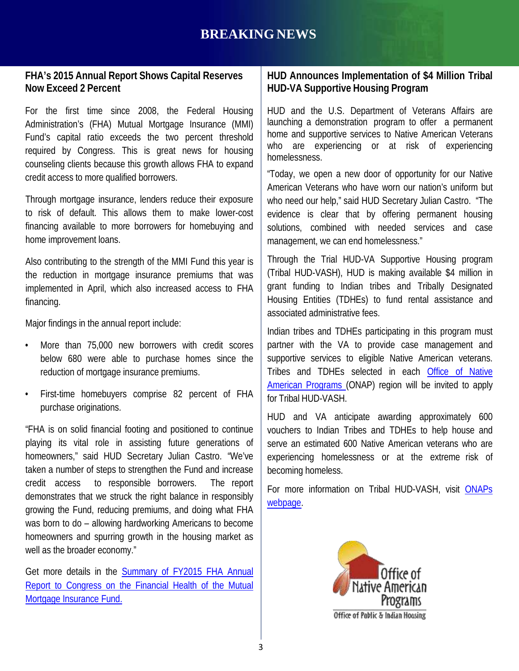#### **FHA's 2015 Annual Report Shows Capital Reserves Now Exceed 2 Percent**

For the first time since 2008, the Federal Housing Administration's (FHA) Mutual Mortgage Insurance (MMI) Fund's capital ratio exceeds the two percent threshold required by Congress. This is great news for housing counseling clients because this growth allows FHA to expand credit access to more qualified borrowers.

Through mortgage insurance, lenders reduce their exposure to risk of default. This allows them to make lower-cost financing available to more borrowers for homebuying and home improvement loans.

Also contributing to the strength of the MMI Fund this year is the reduction in mortgage insurance premiums that was implemented in April, which also increased access to FHA financing.

Major findings in the annual report include:

- More than 75,000 new borrowers with credit scores below 680 were able to purchase homes since the reduction of mortgage insurance premiums.
- First-time homebuyers comprise 82 percent of FHA purchase originations.

"FHA is on solid financial footing and positioned to continue playing its vital role in assisting future generations of homeowners," said HUD Secretary Julian Castro. "We've taken a number of steps to strengthen the Fund and increase credit access to responsible borrowers. The report demonstrates that we struck the right balance in responsibly growing the Fund, reducing premiums, and doing what FHA was born to do – allowing hardworking Americans to become homeowners and spurring growth in the housing market as well as the broader economy."

Get more details in the [Summary](http://portal.hud.gov/hudportal/documents/huddoc?id=FHAAnnRptDeck111315.pdf) of FY2015 FHA Annual Report to Congress on the Financial Health of the Mutual Mortgage [Insurance](http://portal.hud.gov/hudportal/documents/huddoc?id=FHAAnnRptDeck111315.pdf) Fund.

#### **HUD Announces Implementation of \$4 Million Tribal HUD-VA Supportive Housing Program**

HUD and the U.S. Department of Veterans Affairs are launching a demonstration program to offer a permanent home and supportive services to Native American Veterans who are experiencing or at risk of experiencing homelessness.

"Today, we open a new door of opportunity for our Native American Veterans who have worn our nation's uniform but who need our help," said HUD Secretary Julian Castro. "The evidence is clear that by offering permanent housing solutions, combined with needed services and case management, we can end homelessness."

Through the Trial HUD-VA Supportive Housing program (Tribal HUD-VASH), HUD is making available \$4 million in grant funding to Indian tribes and Tribally Designated Housing Entities (TDHEs) to fund rental assistance and associated administrative fees.

Indian tribes and TDHEs participating in this program must partner with the VA to provide case management and supportive services to eligible Native American veterans. Tribes and TDHEs selected in each Office of [Native](http://portal.hud.gov/hudportal/HUD?src=/program_offices/public_indian_housing/ih/codetalk/tribalhousing) American [Programs](http://portal.hud.gov/hudportal/HUD?src=/program_offices/public_indian_housing/ih/codetalk/tribalhousing) (ONAP) region will be invited to apply for Tribal HUD-VASH.

HUD and VA anticipate awarding approximately 600 vouchers to Indian Tribes and TDHEs to help house and serve an estimated 600 Native American veterans who are experiencing homelessness or at the extreme risk of becoming homeless.

For more information on Tribal HUD-VASH, visit [ONAPs](http://portal.hud.gov/hudportal/HUD?src=/program_offices/public_indian_housing/ih/codetalk/tribalhousing) [webpage.](http://portal.hud.gov/hudportal/HUD?src=/program_offices/public_indian_housing/ih/codetalk/tribalhousing)

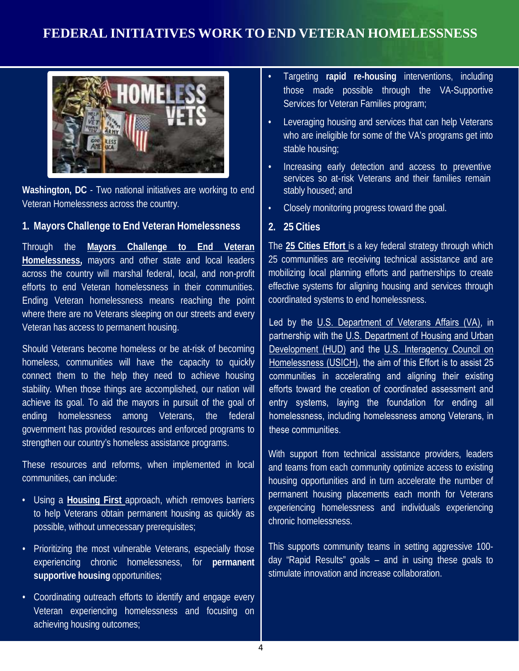#### **FEDERAL INITIATIVES WORK TO END VETERAN HOMELESSNESS**



**Washington, DC** - Two national initiatives are working to end Veteran Homelessness across the country.

#### **1. Mayors Challenge to End Veteran Homelessness**

Through the **Mayors [Challenge](http://portal.hud.gov/hudportal/HUD?src=/program_offices/comm_planning/veteran_information/mayors_challenge/) to End Veteran [Homelessness,](http://portal.hud.gov/hudportal/HUD?src=/program_offices/comm_planning/veteran_information/mayors_challenge/)** mayors and other state and local leaders across the country will marshal federal, local, and non-profit efforts to end Veteran homelessness in their communities. Ending Veteran homelessness means reaching the point where there are no Veterans sleeping on our streets and every Veteran has access to permanent housing.

Should Veterans become homeless or be at-risk of becoming homeless, communities will have the capacity to quickly connect them to the help they need to achieve housing stability. When those things are accomplished, our nation will achieve its goal. To aid the mayors in pursuit of the goal of ending homelessness among Veterans, the federal government has provided resources and enforced programs to strengthen our country's homeless assistance programs.

These resources and reforms, when implemented in local communities, can include:

- Using a **[Housing](http://www.endhomelessness.org/pages/housing_first) First** approach, which removes barriers to help Veterans obtain permanent housing as quickly as possible, without unnecessary prerequisites;
- Prioritizing the most vulnerable Veterans, especially those experiencing chronic homelessness, for **permanent supportive housing** opportunities;
- Coordinating outreach efforts to identify and engage every Veteran experiencing homelessness and focusing on achieving housing outcomes;
- Targeting **rapid re-housing** interventions, including those made possible through the VA-Supportive Services for Veteran Families program;
- Leveraging housing and services that can help Veterans who are ineligible for some of the VA's programs get into stable housing;
- Increasing early detection and access to preventive services so at-risk Veterans and their families remain stably housed; and
- Closely monitoring progress toward the goal.

#### **2. 25 Cities**

The **25 [Cities](http://www.25cities.com/) Effort** is a key federal strategy through which 25 communities are receiving technical assistance and are mobilizing local planning efforts and partnerships to create effective systems for aligning housing and services through coordinated systems to end homelessness.

Led by the [U.S. Department of Veterans Affairs \(VA\),](http://www.va.gov/homeless/25cities.asp) in partnership with the [U.S. Department of Housing and Urban](https://www.hudexchange.info/news/25-cities-effort-launched-to-assist-communities-to-end-homelessness/)  [Development \(HUD\)](https://www.hudexchange.info/news/25-cities-effort-launched-to-assist-communities-to-end-homelessness/) and the U.S. Interagency Council on [Homelessness \(USICH\),](http://usich.gov/) the aim of this Effort is to assist 25 communities in accelerating and aligning their existing efforts toward the creation of coordinated assessment and entry systems, laying the foundation for ending all homelessness, including homelessness among Veterans, in these communities.

With support from technical assistance providers, leaders and teams from each community optimize access to existing housing opportunities and in turn accelerate the number of permanent housing placements each month for Veterans experiencing homelessness and individuals experiencing chronic homelessness.

This supports community teams in setting aggressive 100 day "Rapid Results" goals – and in using these goals to stimulate innovation and increase collaboration.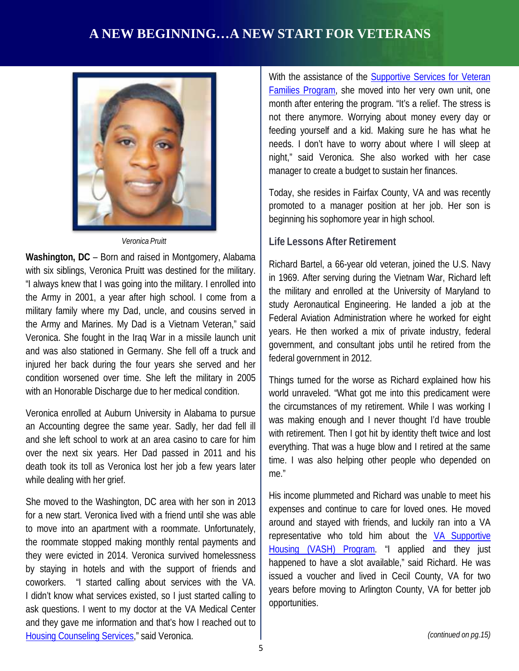#### **A NEW BEGINNING…A NEW START FOR VETERANS**



*Veronica Pruitt*

**Washington, DC** – Born and raised in Montgomery, Alabama with six siblings, Veronica Pruitt was destined for the military. "I always knew that I was going into the military. I enrolled into the Army in 2001, a year after high school. I come from a military family where my Dad, uncle, and cousins served in the Army and Marines. My Dad is a Vietnam Veteran," said Veronica. She fought in the Iraq War in a missile launch unit and was also stationed in Germany. She fell off a truck and injured her back during the four years she served and her condition worsened over time. She left the military in 2005 with an Honorable Discharge due to her medical condition.

Veronica enrolled at Auburn University in Alabama to pursue an Accounting degree the same year. Sadly, her dad fell ill and she left school to work at an area casino to care for him over the next six years. Her Dad passed in 2011 and his death took its toll as Veronica lost her job a few years later while dealing with her grief.

She moved to the Washington, DC area with her son in 2013 for a new start. Veronica lived with a friend until she was able to move into an apartment with a roommate. Unfortunately, the roommate stopped making monthly rental payments and they were evicted in 2014. Veronica survived homelessness by staying in hotels and with the support of friends and coworkers. "I started calling about services with the VA. I didn't know what services existed, so I just started calling to ask questions. I went to my doctor at the VA Medical Center and they gave me information and that's how I reached out to [Housing Counseling Services,](http://housingetc.org/)" said Veronica.

With the assistance of the **[Supportive](http://www.va.gov/homeless/ssvf/index.asp?page=/home/general_program_info_regs) Services for Veteran** Families [Program,](http://www.va.gov/homeless/ssvf/index.asp?page=/home/general_program_info_regs) she moved into her very own unit, one month after entering the program. "It's a relief. The stress is not there anymore. Worrying about money every day or feeding yourself and a kid. Making sure he has what he needs. I don't have to worry about where I will sleep at night," said Veronica. She also worked with her case manager to create a budget to sustain her finances.

Today, she resides in Fairfax County, VA and was recently promoted to a manager position at her job. Her son is beginning his sophomore year in high school.

#### **Life Lessons After Retirement**

Richard Bartel, a 66-year old veteran, joined the U.S. Navy in 1969. After serving during the Vietnam War, Richard left the military and enrolled at the University of Maryland to study Aeronautical Engineering. He landed a job at the Federal Aviation Administration where he worked for eight years. He then worked a mix of private industry, federal government, and consultant jobs until he retired from the federal government in 2012.

Things turned for the worse as Richard explained how his world unraveled. "What got me into this predicament were the circumstances of my retirement. While I was working I was making enough and I never thought I'd have trouble with retirement. Then I got hit by identity theft twice and lost everything. That was a huge blow and I retired at the same time. I was also helping other people who depended on me."

His income plummeted and Richard was unable to meet his expenses and continue to care for loved ones. He moved around and stayed with friends, and luckily ran into a VA representative who told him about the VA [Supportive](http://www.va.gov/homeless/hud-vash_eligibility.asp) Housing (VASH) [Program.](http://www.va.gov/homeless/hud-vash_eligibility.asp) "I applied and they just happened to have a slot available," said Richard. He was issued a voucher and lived in Cecil County, VA for two years before moving to Arlington County, VA for better job opportunities.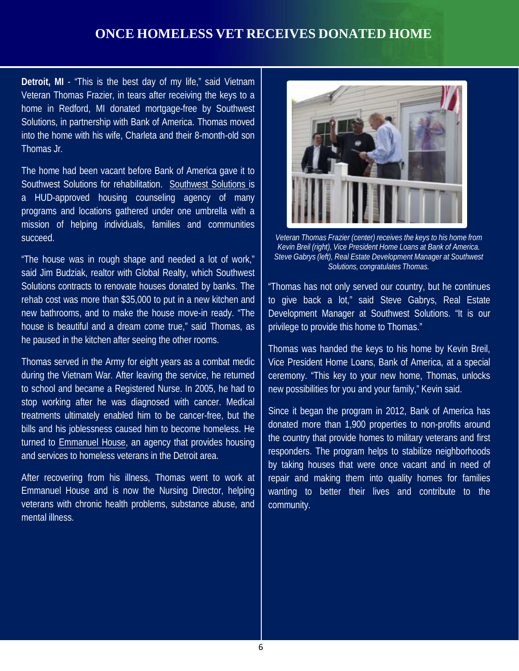#### **ONCE HOMELESS VET RECEIVES DONATED HOME**

**Detroit, MI** - "This is the best day of my life," said Vietnam Veteran Thomas Frazier, in tears after receiving the keys to a home in Redford, MI donated mortgage-free by Southwest Solutions, in partnership with Bank of America. Thomas moved into the home with his wife, Charleta and their 8-month-old son Thomas Jr.

The home had been vacant before Bank of America gave it to Southwest Solutions for rehabilitation. [Southwest](http://www.swsol.org/housing-and-homeownership/) Solutions is a HUD-approved housing counseling agency of many programs and locations gathered under one umbrella with a mission of helping individuals, families and communities succeed.

"The house was in rough shape and needed a lot of work," said Jim Budziak, realtor with Global Realty, which Southwest Solutions contracts to renovate houses donated by banks. The rehab cost was more than \$35,000 to put in a new kitchen and new bathrooms, and to make the house move-in ready. "The house is beautiful and a dream come true," said Thomas, as he paused in the kitchen after seeing the other rooms.

Thomas served in the Army for eight years as a combat medic during the Vietnam War. After leaving the service, he returned to school and became a Registered Nurse. In 2005, he had to stop working after he was diagnosed with cancer. Medical treatments ultimately enabled him to be cancer-free, but the bills and his joblessness caused him to become homeless. He turned to [Emmanuel](http://www.emmanuelhouserecovery.org/programs.html) House, an agency that provides housing and services to homeless veterans in the Detroit area.

After recovering from his illness, Thomas went to work at Emmanuel House and is now the Nursing Director, helping veterans with chronic health problems, substance abuse, and mental illness.



*Veteran Thomas Frazier (center) receives the keys to his home from Kevin Breil (right), Vice President Home Loans at Bank of America. Steve Gabrys (left), Real Estate Development Manager at Southwest Solutions, congratulates Thomas.*

"Thomas has not only served our country, but he continues to give back a lot," said Steve Gabrys, Real Estate Development Manager at Southwest Solutions. "It is our privilege to provide this home to Thomas."

Thomas was handed the keys to his home by Kevin Breil, Vice President Home Loans, Bank of America, at a special ceremony. "This key to your new home, Thomas, unlocks new possibilities for you and your family," Kevin said.

Since it began the program in 2012, Bank of America has donated more than 1,900 properties to non-profits around the country that provide homes to military veterans and first responders. The program helps to stabilize neighborhoods by taking houses that were once vacant and in need of repair and making them into quality homes for families wanting to better their lives and contribute to the community.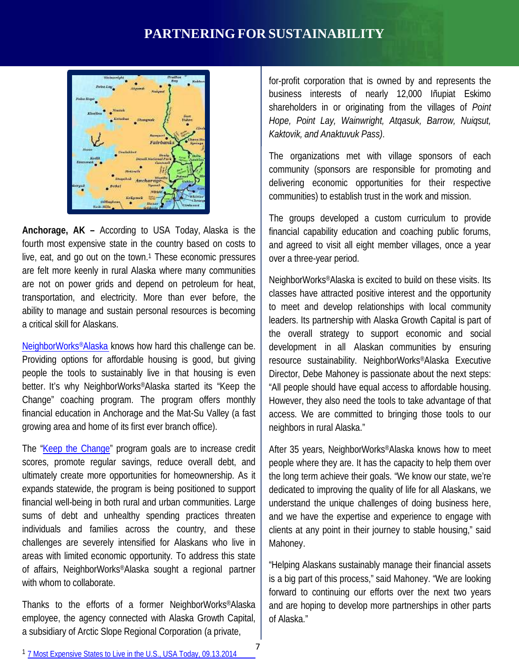#### **PARTNERING FOR SUSTAINABILITY**



**Anchorage, AK –** According to USA Today, Alaska is the fourth most expensive state in the country based on costs to live, eat, and go out on the town.<sup>1</sup> These economic pressures are felt more keenly in rural Alaska where many communities are not on power grids and depend on petroleum for heat, transportation, and electricity. More than ever before, the ability to manage and sustain personal resources is becoming a critical skill for Alaskans.

[NeighborWorks®Alaska](http://www.nwalaska.org/) knows how hard this challenge can be. Providing options for affordable housing is good, but giving people the tools to sustainably live in that housing is even better. It's why NeighborWorks®Alaska started its "Keep the Change" coaching program. The program offers monthly financial education in Anchorage and the Mat-Su Valley (a fast growing area and home of its first ever branch office).

The "Keep the [Change"](http://www.nwalaska.org/education/keep-change-0) program goals are to increase credit scores, promote regular savings, reduce overall debt, and ultimately create more opportunities for homeownership. As it expands statewide, the program is being positioned to support financial well-being in both rural and urban communities. Large sums of debt and unhealthy spending practices threaten individuals and families across the country, and these challenges are severely intensified for Alaskans who live in areas with limited economic opportunity. To address this state of affairs, NeighborWorks®Alaska sought a regional partner with whom to collaborate.

Thanks to the efforts of a former NeighborWorks®Alaska employee, the agency connected with Alaska Growth Capital, a subsidiary of Arctic Slope Regional Corporation (a private,

for-profit corporation that is owned by and represents the business interests of nearly 12,000 Iñupiat Eskimo shareholders in or originating from the villages of *Point Hope, Point Lay, Wainwright, Atqasuk, Barrow, Nuiqsut, Kaktovik, and Anaktuvuk Pass)*.

The organizations met with village sponsors of each community (sponsors are responsible for promoting and delivering economic opportunities for their respective communities) to establish trust in the work and mission.

The groups developed a custom curriculum to provide financial capability education and coaching public forums, and agreed to visit all eight member villages, once a year over a three-year period.

NeighborWorks®Alaska is excited to build on these visits. Its classes have attracted positive interest and the opportunity to meet and develop relationships with local community leaders. Its partnership with Alaska Growth Capital is part of the overall strategy to support economic and social development in all Alaskan communities by ensuring resource sustainability. NeighborWorks®Alaska Executive Director, Debe Mahoney is passionate about the next steps: "All people should have equal access to affordable housing. However, they also need the tools to take advantage of that access. We are committed to bringing those tools to our neighbors in rural Alaska."

After 35 years, NeighborWorks®Alaska knows how to meet people where they are. It has the capacity to help them over the long term achieve their goals. "We know our state, we're dedicated to improving the quality of life for all Alaskans, we understand the unique challenges of doing business here, and we have the expertise and experience to engage with clients at any point in their journey to stable housing," said Mahoney.

"Helping Alaskans sustainably manage their financial assets is a big part of this process," said Mahoney. "We are looking forward to continuing our efforts over the next two years and are hoping to develop more partnerships in other parts of Alaska."

<sup>1</sup> [7 Most Expensive States](http://www.usatoday.com/story/money/personalfinance/2014/09/13/cheat-sheet-most-expensive-states/15455129/) to Live in the U.S., USA Today, 09.13.2014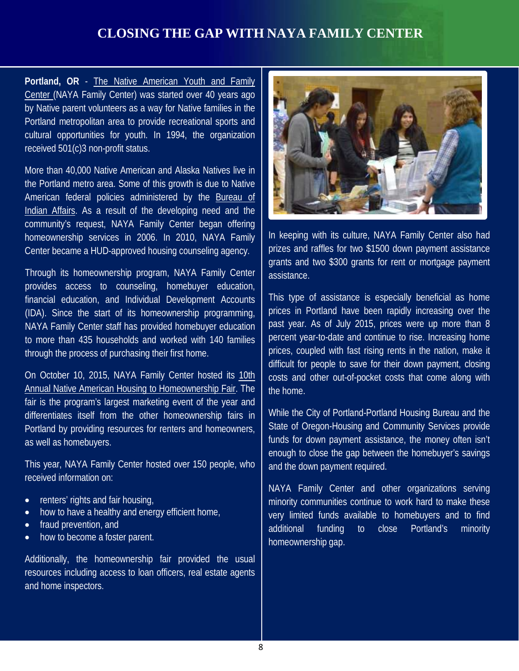#### **CLOSING THE GAP WITH NAYA FAMILY CENTER**

**Portland, OR** - The Native [American](http://nayapdx.org/) Youth and Family [Center](http://nayapdx.org/) (NAYA Family Center) was started over 40 years ago by Native parent volunteers as a way for Native families in the Portland metropolitan area to provide recreational sports and cultural opportunities for youth. In 1994, the organization received 501(c)3 non-profit status.

More than 40,000 Native American and Alaska Natives live in the Portland metro area. Some of this growth is due to Native American federal policies administered by the [Bureau](http://www.bia.gov/index.htm) of Indian [Affairs.](http://www.bia.gov/index.htm) As a result of the developing need and the community's request, NAYA Family Center began offering homeownership services in 2006. In 2010, NAYA Family Center became a HUD-approved housing counseling agency.

Through its homeownership program, NAYA Family Center provides access to counseling, homebuyer education, financial education, and Individual Development Accounts (IDA). Since the start of its homeownership programming, NAYA Family Center staff has provided homebuyer education to more than 435 households and worked with 140 families through the process of purchasing their first home.

On October 10, 2015, NAYA Family Center hosted its [10th](http://nayapdx.org/event/homeownership-fair/) Annual Native American Housing to [Homeownership Fair.](http://nayapdx.org/event/homeownership-fair/) The fair is the program's largest marketing event of the year and differentiates itself from the other homeownership fairs in Portland by providing resources for renters and homeowners, as well as homebuyers.

This year, NAYA Family Center hosted over 150 people, who received information on:

- renters' rights and fair housing,
- how to have a healthy and energy efficient home,
- fraud prevention, and
- how to become a foster parent.

Additionally, the homeownership fair provided the usual resources including access to loan officers, real estate agents and home inspectors.



In keeping with its culture, NAYA Family Center also had prizes and raffles for two \$1500 down payment assistance grants and two \$300 grants for rent or mortgage payment assistance.

This type of assistance is especially beneficial as home prices in Portland have been rapidly increasing over the past year. As of July 2015, prices were up more than 8 percent year-to-date and continue to rise. Increasing home prices, coupled with fast rising rents in the nation, make it difficult for people to save for their down payment, closing costs and other out-of-pocket costs that come along with the home.

While the City of Portland-Portland Housing Bureau and the State of Oregon-Housing and Community Services provide funds for down payment assistance, the money often isn't enough to close the gap between the homebuyer's savings and the down payment required.

NAYA Family Center and other organizations serving minority communities continue to work hard to make these very limited funds available to homebuyers and to find additional funding to close Portland's minority homeownership gap.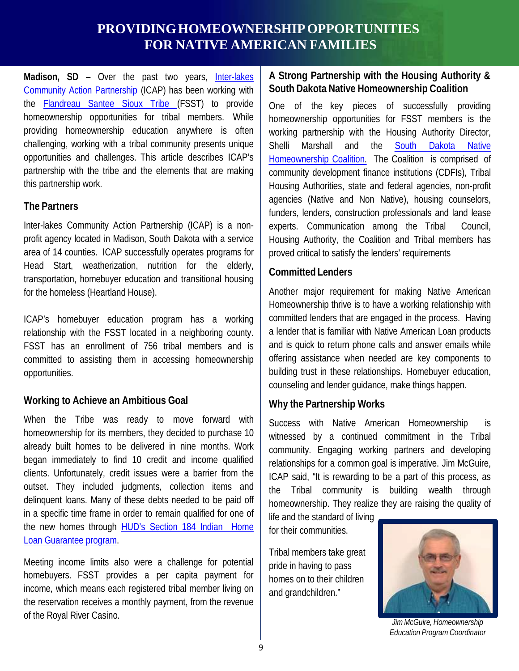#### **PROVIDING HOMEOWNERSHIP OPPORTUNITIES FOR NATIVE AMERICAN FAMILIES**

**Madison, SD** – Over the past two years, [Inter-lakes](http://www.interlakescap.com/) Community Action [Partnership](http://www.interlakescap.com/) (ICAP) has been working with the [Flandreau](http://www.santeesioux.com/) Santee Sioux Tribe (FSST) to provide homeownership opportunities for tribal members. While providing homeownership education anywhere is often challenging, working with a tribal community presents unique opportunities and challenges. This article describes ICAP's partnership with the tribe and the elements that are making this partnership work.

#### **The Partners**

Inter-lakes Community Action Partnership (ICAP) is a nonprofit agency located in Madison, South Dakota with a service area of 14 counties. ICAP successfully operates programs for Head Start, weatherization, nutrition for the elderly, transportation, homebuyer education and transitional housing for the homeless (Heartland House).

ICAP's homebuyer education program has a working relationship with the FSST located in a neighboring county. FSST has an enrollment of 756 tribal members and is committed to assisting them in accessing homeownership opportunities.

#### **Working to Achieve an Ambitious Goal**

When the Tribe was ready to move forward with homeownership for its members, they decided to purchase 10 already built homes to be delivered in nine months. Work began immediately to find 10 credit and income qualified clients. Unfortunately, credit issues were a barrier from the outset. They included judgments, collection items and delinquent loans. Many of these debts needed to be paid off in a specific time frame in order to remain qualified for one of the new homes through HUD's Section 184 [Indian Home](http://portal.hud.gov/hudportal/HUD?src=/program_offices/public_indian_housing/ih/homeownership/184) Loan [Guarantee](http://portal.hud.gov/hudportal/HUD?src=/program_offices/public_indian_housing/ih/homeownership/184) program.

Meeting income limits also were a challenge for potential homebuyers. FSST provides a per capita payment for income, which means each registered tribal member living on the reservation receives a monthly payment, from the revenue of the Royal River Casino.

#### **A Strong Partnership with the Housing Authority & South Dakota Native Homeownership Coalition**

One of the key pieces of successfully providing homeownership opportunities for FSST members is the working partnership with the Housing Authority Director, Shelli Marshall and the South [Dakota](http://sdnativehomeownershipcoalition.org/) Native [Homeownership](http://sdnativehomeownershipcoalition.org/) Coalition. The Coalition is comprised of community development finance institutions (CDFIs), Tribal Housing Authorities, state and federal agencies, non-profit agencies (Native and Non Native), housing counselors, funders, lenders, construction professionals and land lease experts. Communication among the Tribal Council, Housing Authority, the Coalition and Tribal members has proved critical to satisfy the lenders' requirements

#### **Committed Lenders**

Another major requirement for making Native American Homeownership thrive is to have a working relationship with committed lenders that are engaged in the process. Having a lender that is familiar with Native American Loan products and is quick to return phone calls and answer emails while offering assistance when needed are key components to building trust in these relationships. Homebuyer education, counseling and lender guidance, make things happen.

#### **Why the Partnership Works**

Success with Native American Homeownership is witnessed by a continued commitment in the Tribal community. Engaging working partners and developing relationships for a common goal is imperative. Jim McGuire, ICAP said, "It is rewarding to be a part of this process, as the Tribal community is building wealth through homeownership. They realize they are raising the quality of

life and the standard of living for their communities.

Tribal members take great pride in having to pass homes on to their children and grandchildren."



*Jim McGuire, Homeownership Education Program Coordinator*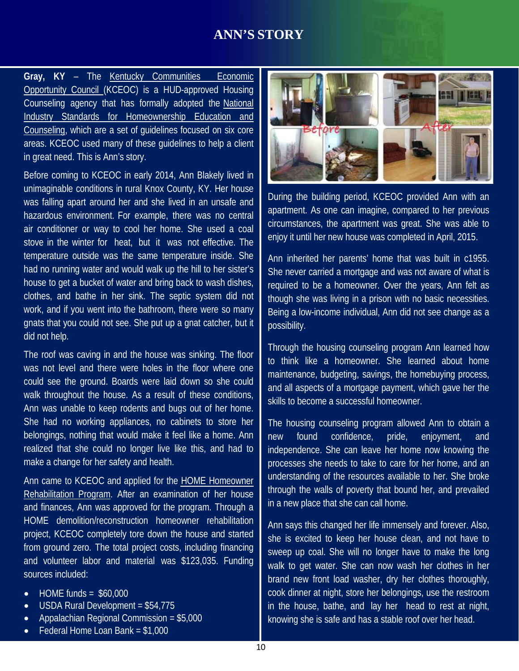#### **ANN'S STORY**

**Gray, KY** – The Kentucky [Communities Economic](http://www.kceoc.com/index.php?option=com_content&view=featured&Itemid=101&lang=en) [Opportunity](http://www.kceoc.com/index.php?option=com_content&view=featured&Itemid=101&lang=en) Council (KCEOC) is a HUD-approved Housing Counseling agency that has formally adopted the [National](http://www.homeownershipstandards.com/Home/Home.aspx) Industry Standards for [Homeownership](http://www.homeownershipstandards.com/Home/Home.aspx) Education and [Counseling,](http://www.homeownershipstandards.com/Home/Home.aspx) which are a set of guidelines focused on six core areas. KCEOC used many of these guidelines to help a client in great need. This is Ann's story.

Before coming to KCEOC in early 2014, Ann Blakely lived in unimaginable conditions in rural Knox County, KY. Her house was falling apart around her and she lived in an unsafe and hazardous environment. For example, there was no central air conditioner or way to cool her home. She used a coal stove in the winter for heat, but it was not effective. The temperature outside was the same temperature inside. She had no running water and would walk up the hill to her sister's house to get a bucket of water and bring back to wash dishes, clothes, and bathe in her sink. The septic system did not work, and if you went into the bathroom, there were so many gnats that you could not see. She put up a gnat catcher, but it did not help.

The roof was caving in and the house was sinking. The floor was not level and there were holes in the floor where one could see the ground. Boards were laid down so she could walk throughout the house. As a result of these conditions, Ann was unable to keep rodents and bugs out of her home. She had no working appliances, no cabinets to store her belongings, nothing that would make it feel like a home. Ann realized that she could no longer live like this, and had to make a change for her safety and health.

Ann came to KCEOC and applied for the HOME [Homeowner](https://www.hudexchange.info/home/topics/homeowner-rehabilitation/) [Rehabilitation](https://www.hudexchange.info/home/topics/homeowner-rehabilitation/) Program. After an examination of her house and finances, Ann was approved for the program. Through a HOME demolition/reconstruction homeowner rehabilitation project, KCEOC completely tore down the house and started from ground zero. The total project costs, including financing and volunteer labor and material was \$123,035. Funding sources included:

- $\bullet$  HOME funds = \$60,000
- USDA Rural Development = \$54,775
- Appalachian Regional Commission = \$5,000
- Federal Home Loan Bank = \$1,000



During the building period, KCEOC provided Ann with an apartment. As one can imagine, compared to her previous circumstances, the apartment was great. She was able to enjoy it until her new house was completed in April, 2015.

Ann inherited her parents' home that was built in c1955. She never carried a mortgage and was not aware of what is required to be a homeowner. Over the years, Ann felt as though she was living in a prison with no basic necessities. Being a low-income individual, Ann did not see change as a possibility.

Through the housing counseling program Ann learned how to think like a homeowner. She learned about home maintenance, budgeting, savings, the homebuying process, and all aspects of a mortgage payment, which gave her the skills to become a successful homeowner.

The housing counseling program allowed Ann to obtain a new found confidence, pride, enjoyment, and independence. She can leave her home now knowing the processes she needs to take to care for her home, and an understanding of the resources available to her. She broke through the walls of poverty that bound her, and prevailed in a new place that she can call home.

Ann says this changed her life immensely and forever. Also, she is excited to keep her house clean, and not have to sweep up coal. She will no longer have to make the long walk to get water. She can now wash her clothes in her brand new front load washer, dry her clothes thoroughly, cook dinner at night, store her belongings, use the restroom in the house, bathe, and lay her head to rest at night, knowing she is safe and has a stable roof over her head.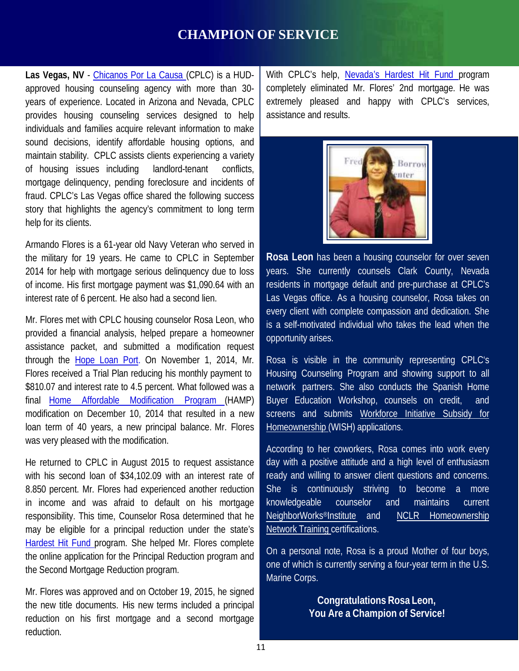#### **CHAMPION OF SERVICE**

**Las Vegas, NV** - [Chicanos](http://cplc.org/) Por La Causa (CPLC) is a HUDapproved housing counseling agency with more than 30 years of experience. Located in Arizona and Nevada, CPLC provides housing counseling services designed to help individuals and families acquire relevant information to make sound decisions, identify affordable housing options, and maintain stability. CPLC assists clients experiencing a variety of housing issues including landlord-tenant conflicts, mortgage delinquency, pending foreclosure and incidents of fraud. CPLC's Las Vegas office shared the following success story that highlights the agency's commitment to long term help for its clients.

Armando Flores is a 61-year old Navy Veteran who served in the military for 19 years. He came to CPLC in September 2014 for help with mortgage serious delinquency due to loss of income. His first mortgage payment was \$1,090.64 with an interest rate of 6 percent. He also had a second lien.

Mr. Flores met with CPLC housing counselor Rosa Leon, who provided a financial analysis, helped prepare a homeowner assistance packet, and submitted a modification request through the [Hope](https://www.hopeloanportal.org/) Loan Port. On November 1, 2014, Mr. Flores received a Trial Plan reducing his monthly payment to \$810.07 and interest rate to 4.5 percent. What followed was a final Home Affordable [Modification](https://www.makinghomeaffordable.gov/steps/Pages/step-2-program-hamp.aspx) Program (HAMP) modification on December 10, 2014 that resulted in a new loan term of 40 years, a new principal balance. Mr. Flores was very pleased with the modification.

He returned to CPLC in August 2015 to request assistance with his second loan of \$34,102.09 with an interest rate of 8.850 percent. Mr. Flores had experienced another reduction in income and was afraid to default on his mortgage responsibility. This time, Counselor Rosa determined that he may be eligible for a principal reduction under the state's [Hardest](http://www.treasury.gov/initiatives/financial-stability/TARP-Programs/housing/hhf/Pages/default.aspx) Hit Fund program. She helped Mr. Flores complete the online application for the Principal Reduction program and the Second Mortgage Reduction program.

Mr. Flores was approved and on October 19, 2015, he signed the new title documents. His new terms included a principal reduction on his first mortgage and a second mortgage reduction.

With CPLC's help, [Nevada's](http://nevadahardesthitfund.nv.gov/) Hardest Hit Fund program completely eliminated Mr. Flores' 2nd mortgage. He was extremely pleased and happy with CPLC's services, assistance and results.



**Rosa Leon** has been a housing counselor for over seven years. She currently counsels Clark County, Nevada residents in mortgage default and pre-purchase at CPLC's Las Vegas office. As a housing counselor, Rosa takes on every client with complete compassion and dedication. She is a self-motivated individual who takes the lead when the opportunity arises.

Rosa is visible in the community representing CPLC's Housing Counseling Program and showing support to all network partners. She also conducts the Spanish Home Buyer Education Workshop, counsels on credit, and screens and submits [Workforce](http://wishloanprogram.com/about-the-wish-grant/) Initiative Subsidy for [Homeownership](http://wishloanprogram.com/about-the-wish-grant/) (WISH) applications.

According to her coworkers, Rosa comes into work every day with a positive attitude and a high level of enthusiasm ready and willing to answer client questions and concerns. She is continuously striving to become a more knowledgeable counselor and maintains current [NeighborWorks®Institute](http://neighborworks.org/Training-Services) and NCLR [Homeownership](http://mynhn.nclr.org/index.cfm?fuseaction=Page.viewPage&pageId=719&parentID=632&nodeID=2) [Network](http://mynhn.nclr.org/index.cfm?fuseaction=Page.viewPage&pageId=719&parentID=632&nodeID=2) Training certifications.

On a personal note, Rosa is a proud Mother of four boys, one of which is currently serving a four-year term in the U.S. Marine Corps.

> **Congratulations Rosa Leon, You Are a Champion of Service!**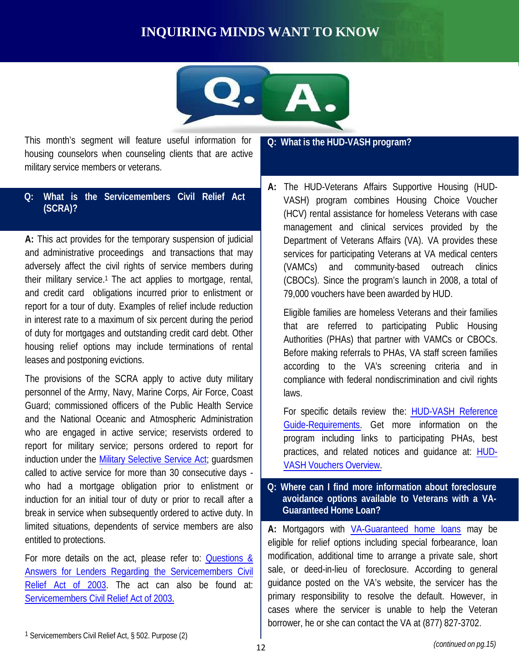#### **INQUIRING MINDS WANT TO KNOW**



housing counselors when counseling clients that are active military service members or veterans. This month's segment will feature useful information for **Q: What is the HUD-VASH program?**

#### **Q: What is the Servicemembers Civil Relief Act (SCRA)?**

**A:** This act provides for the temporary suspension of judicial and administrative proceedings and transactions that may adversely affect the civil rights of service members during their military service.1 The act applies to mortgage, rental, and credit card obligations incurred prior to enlistment or report for a tour of duty. Examples of relief include reduction in interest rate to a maximum of six percent during the period of duty for mortgages and outstanding credit card debt. Other housing relief options may include terminations of rental leases and postponing evictions.

The provisions of the SCRA apply to active duty military personnel of the Army, Navy, Marine Corps, Air Force, Coast Guard; commissioned officers of the Public Health Service and the National Oceanic and Atmospheric Administration who are engaged in active service; reservists ordered to report for military service; persons ordered to report for induction under the **Military Selective Service Act**; guardsmen called to active service for more than 30 consecutive days who had a mortgage obligation prior to enlistment or induction for an initial tour of duty or prior to recall after a break in service when subsequently ordered to active duty. In limited situations, dependents of service members are also entitled to protections.

For more details on the act, please refer to: [Questions &](http://portal.hud.gov/hudportal/HUD?src=/program_offices/housing/sfh/nsc/qasscra2) Answers for Lenders Regarding the [Servicemembers](http://portal.hud.gov/hudportal/HUD?src=/program_offices/housing/sfh/nsc/qasscra2) Civil [Relief](http://portal.hud.gov/hudportal/HUD?src=/program_offices/housing/sfh/nsc/qasscra2) Act of 2003. The act can also be found at: Servicemembers Civil [Relief Act of 2003.](http://www.justice.gov/sites/default/files/crt/legacy/2011/03/23/scratext.pdf) 

**A:** The HUD-Veterans Affairs Supportive Housing (HUD-VASH) program combines Housing Choice Voucher (HCV) rental assistance for homeless Veterans with case management and clinical services provided by the Department of Veterans Affairs (VA). VA provides these services for participating Veterans at VA medical centers (VAMCs) and community-based outreach clinics (CBOCs). Since the program's launch in 2008, a total of 79,000 vouchers have been awarded by HUD.

Eligible families are homeless Veterans and their families that are referred to participating Public Housing Authorities (PHAs) that partner with VAMCs or CBOCs. Before making referrals to PHAs, VA staff screen families according to the VA's screening criteria and in compliance with federal nondiscrimination and civil rights laws.

For specific details review the: [HUD-VASH](http://portal.hud.gov/hudportal/documents/huddoc?id=vash-referguide2012-10.pdf) Reference [Guide-Requirements.](http://portal.hud.gov/hudportal/documents/huddoc?id=vash-referguide2012-10.pdf) Get more information on the program including links to participating PHAs, best practices, and related notices and guidance at: [HUD-](http://portal.hud.gov/hudportal/HUD?src=/program_offices/public_indian_housing/programs/hcv/vash)VASH [Vouchers](http://portal.hud.gov/hudportal/HUD?src=/program_offices/public_indian_housing/programs/hcv/vash) Overview.

#### **Q: Where can I find more information about foreclosure avoidance options available to Veterans with a VA-Guaranteed Home Loan?**

**A:** Mortgagors with [VA-Guaranteed](http://www.benefits.va.gov/homeloans/resources_payments.asp) home loans may be eligible for relief options including special forbearance, loan modification, additional time to arrange a private sale, short sale, or deed-in-lieu of foreclosure. According to general guidance posted on the VA's website, the servicer has the primary responsibility to resolve the default. However, in cases where the servicer is unable to help the Veteran borrower, he or she can contact the VA at (877) 827-3702.

<sup>1</sup> Servicemembers Civil Relief Act, § 502. Purpose (2)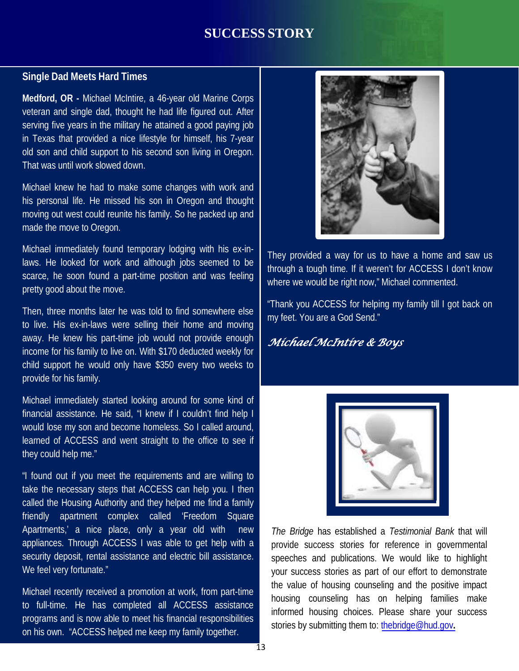#### **SUCCESS STORY**

#### **Single Dad Meets Hard Times**

**Medford, OR -** Michael McIntire, a 46-year old Marine Corps veteran and single dad, thought he had life figured out. After serving five years in the military he attained a good paying job in Texas that provided a nice lifestyle for himself, his 7-year old son and child support to his second son living in Oregon. That was until work slowed down.

Michael knew he had to make some changes with work and his personal life. He missed his son in Oregon and thought moving out west could reunite his family. So he packed up and made the move to Oregon.

Michael immediately found temporary lodging with his ex-inlaws. He looked for work and although jobs seemed to be scarce, he soon found a part-time position and was feeling pretty good about the move.

Then, three months later he was told to find somewhere else to live. His ex-in-laws were selling their home and moving away. He knew his part-time job would not provide enough income for his family to live on. With \$170 deducted weekly for child support he would only have \$350 every two weeks to provide for his family.

Michael immediately started looking around for some kind of financial assistance. He said, "I knew if I couldn't find help I would lose my son and become homeless. So I called around, learned of ACCESS and went straight to the office to see if they could help me."

"I found out if you meet the requirements and are willing to take the necessary steps that ACCESS can help you. I then called the Housing Authority and they helped me find a family friendly apartment complex called 'Freedom Square Apartments,' a nice place, only a year old with new appliances. Through ACCESS I was able to get help with a security deposit, rental assistance and electric bill assistance. We feel very fortunate."

Michael recently received a promotion at work, from part-time to full-time. He has completed all ACCESS assistance programs and is now able to meet his financial responsibilities on his own. "ACCESS helped me keep my family together.



They provided a way for us to have a home and saw us through a tough time. If it weren't for ACCESS I don't know where we would be right now," Michael commented.

"Thank you ACCESS for helping my family till I got back on my feet. You are a God Send."

#### *Michael McIntire & Boys*



*The Bridge* has established a *Testimonial Bank* that will provide success stories for reference in governmental speeches and publications. We would like to highlight your success stories as part of our effort to demonstrate the value of housing counseling and the positive impact housing counseling has on helping families make informed housing choices. Please share your success stories by submitting them to: [thebridge@hud.gov](mailto:thebridge@hud.gov)**.**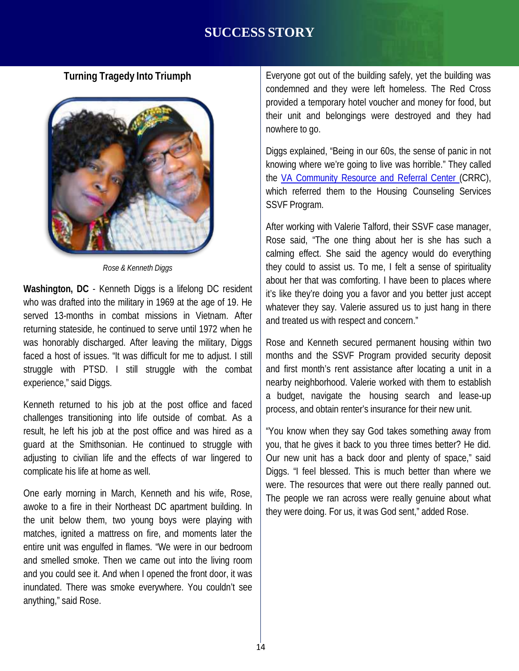#### **SUCCESS STORY**

#### **Turning Tragedy Into Triumph**



*Rose & Kenneth Diggs*

**Washington, DC** - Kenneth Diggs is a lifelong DC resident who was drafted into the military in 1969 at the age of 19. He served 13-months in combat missions in Vietnam. After returning stateside, he continued to serve until 1972 when he was honorably discharged. After leaving the military, Diggs faced a host of issues. "It was difficult for me to adjust. I still struggle with PTSD. I still struggle with the combat experience," said Diggs.

Kenneth returned to his job at the post office and faced challenges transitioning into life outside of combat. As a result, he left his job at the post office and was hired as a guard at the Smithsonian. He continued to struggle with adjusting to civilian life and the effects of war lingered to complicate his life at home as well.

One early morning in March, Kenneth and his wife, Rose, awoke to a fire in their Northeast DC apartment building. In the unit below them, two young boys were playing with matches, ignited a mattress on fire, and moments later the entire unit was engulfed in flames. "We were in our bedroom and smelled smoke. Then we came out into the living room and you could see it. And when I opened the front door, it was inundated. There was smoke everywhere. You couldn't see anything," said Rose.

Everyone got out of the building safely, yet the building was condemned and they were left homeless. The Red Cross provided a temporary hotel voucher and money for food, but their unit and belongings were destroyed and they had nowhere to go.

Diggs explained, "Being in our 60s, the sense of panic in not knowing where we're going to live was horrible." They called the VA [Community](http://www.washingtondc.va.gov/locations/Community_Resource_and_Referral_Center_CRRC.asp) Resource and Referral Center (CRRC), which referred them to the Housing Counseling Services SSVF Program.

After working with Valerie Talford, their SSVF case manager, Rose said, "The one thing about her is she has such a calming effect. She said the agency would do everything they could to assist us. To me, I felt a sense of spirituality about her that was comforting. I have been to places where it's like they're doing you a favor and you better just accept whatever they say. Valerie assured us to just hang in there and treated us with respect and concern."

Rose and Kenneth secured permanent housing within two months and the SSVF Program provided security deposit and first month's rent assistance after locating a unit in a nearby neighborhood. Valerie worked with them to establish a budget, navigate the housing search and lease-up process, and obtain renter's insurance for their new unit.

"You know when they say God takes something away from you, that he gives it back to you three times better? He did. Our new unit has a back door and plenty of space," said Diggs. "I feel blessed. This is much better than where we were. The resources that were out there really panned out. The people we ran across were really genuine about what they were doing. For us, it was God sent," added Rose.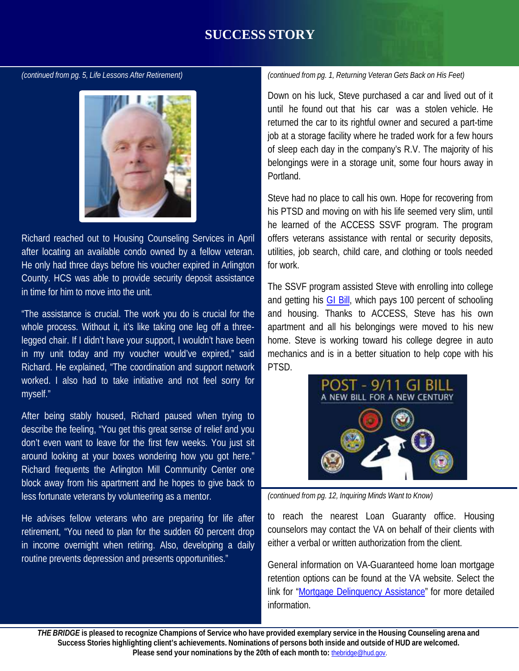#### **SUCCESS STORY**

*(continued from pg. 5, Life Lessons After Retirement)*



Richard reached out to Housing Counseling Services in April after locating an available condo owned by a fellow veteran. He only had three days before his voucher expired in Arlington County. HCS was able to provide security deposit assistance in time for him to move into the unit.

"The assistance is crucial. The work you do is crucial for the whole process. Without it, it's like taking one leg off a threelegged chair. If I didn't have your support, I wouldn't have been in my unit today and my voucher would've expired," said Richard. He explained, "The coordination and support network worked. I also had to take initiative and not feel sorry for myself."

After being stably housed, Richard paused when trying to describe the feeling, "You get this great sense of relief and you don't even want to leave for the first few weeks. You just sit around looking at your boxes wondering how you got here." Richard frequents the Arlington Mill Community Center one block away from his apartment and he hopes to give back to less fortunate veterans by volunteering as a mentor.

He advises fellow veterans who are preparing for life after retirement, "You need to plan for the sudden 60 percent drop in income overnight when retiring. Also, developing a daily routine prevents depression and presents opportunities."

*(continued from pg. 1, Returning Veteran Gets Back on His Feet)*

Down on his luck, Steve purchased a car and lived out of it until he found out that his car was a stolen vehicle. He returned the car to its rightful owner and secured a part-time job at a storage facility where he traded work for a few hours of sleep each day in the company's R.V. The majority of his belongings were in a storage unit, some four hours away in Portland.

Steve had no place to call his own. Hope for recovering from his PTSD and moving on with his life seemed very slim, until he learned of the ACCESS SSVF program. The program offers veterans assistance with rental or security deposits, utilities, job search, child care, and clothing or tools needed for work.

The SSVF program assisted Steve with enrolling into college and getting his GI [Bill,](http://www.benefits.va.gov/gibill/post911_gibill.asp) which pays 100 percent of schooling and housing. Thanks to ACCESS, Steve has his own apartment and all his belongings were moved to his new home. Steve is working toward his college degree in auto mechanics and is in a better situation to help cope with his PTSD.



*(continued from pg. 12, Inquiring Minds Want to Know)*

to reach the nearest Loan Guaranty office. Housing counselors may contact the VA on behalf of their clients with either a verbal or written authorization from the client.

General information on VA-Guaranteed home loan mortgage retention options can be found at the VA website. Select the link for "Mortgage [Delinquency Assistance"](http://www.benefits.va.gov/homeloans/resources_payments.asp) for more detailed information.

15 **Please send your nominations by the 20th of each month to:** [thebridge@hud.gov.](mailto:thebridge@hud.gov)THE BRIDGE is pleased to recognize Champions of Service who have provided exemplary service in the Housing Counseling arena and Success Stories highlighting client's achievements. Nominations of persons both inside and outside of HUD are welcomed.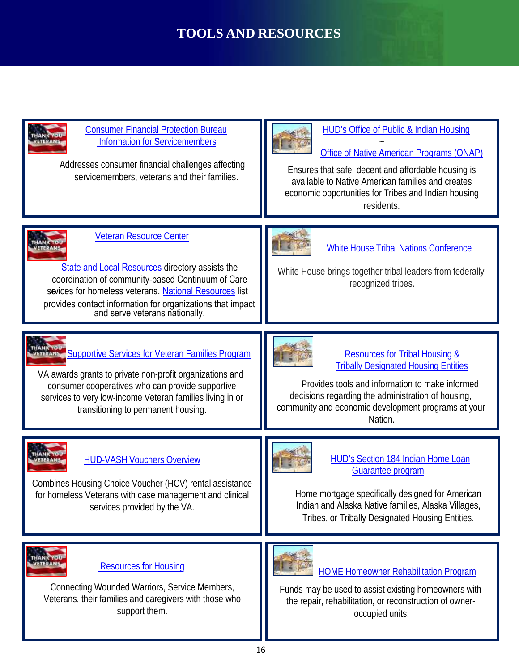### **TOOLS AND RESOURCES**

| <b>Consumer Financial Protection Bureau</b><br><b>Information for Servicemembers</b><br>Addresses consumer financial challenges affecting<br>servicemembers, veterans and their families.                                                                                                               | <b>HUD's Office of Public &amp; Indian Housing</b><br>Office of Native American Programs (ONAP)<br>Ensures that safe, decent and affordable housing is<br>available to Native American families and creates<br>economic opportunities for Tribes and Indian housing<br>residents. |
|---------------------------------------------------------------------------------------------------------------------------------------------------------------------------------------------------------------------------------------------------------------------------------------------------------|-----------------------------------------------------------------------------------------------------------------------------------------------------------------------------------------------------------------------------------------------------------------------------------|
| <b>Veteran Resource Center</b><br><b>State and Local Resources directory assists the</b><br>coordination of community-based Continuum of Care<br>sevices for homeless veterans. National Resources list<br>provides contact information for organizations that impact<br>and serve veterans nationally. | <b>White House Tribal Nations Conference</b><br>White House brings together tribal leaders from federally<br>recognized tribes.                                                                                                                                                   |
| <b>ETERNASE Supportive Services for Veteran Families Program</b><br>VA awards grants to private non-profit organizations and<br>consumer cooperatives who can provide supportive<br>services to very low-income Veteran families living in or<br>transitioning to permanent housing.                    | <b>Resources for Tribal Housing &amp;</b><br><b>Tribally Designated Housing Entities</b><br>Provides tools and information to make informed<br>decisions regarding the administration of housing,<br>community and economic development programs at your<br>Nation.               |
| <b>HUD-VASH Vouchers Overview</b><br>Combines Housing Choice Voucher (HCV) rental assistance<br>for homeless Veterans with case management and clinical<br>services provided by the VA.                                                                                                                 | HUD's Section 184 Indian Home Loan<br>Guarantee program<br>Home mortgage specifically designed for American<br>Indian and Alaska Native families, Alaska Villages,<br>Tribes, or Tribally Designated Housing Entities.                                                            |
| <b>/ETERANS</b><br><b>Resources for Housing</b><br>Connecting Wounded Warriors, Service Members,<br>Veterans, their families and caregivers with those who<br>support them.                                                                                                                             | <b>HOME Homeowner Rehabilitation Program</b><br>Funds may be used to assist existing homeowners with<br>the repair, rehabilitation, or reconstruction of owner-<br>occupied units.                                                                                                |

Ш